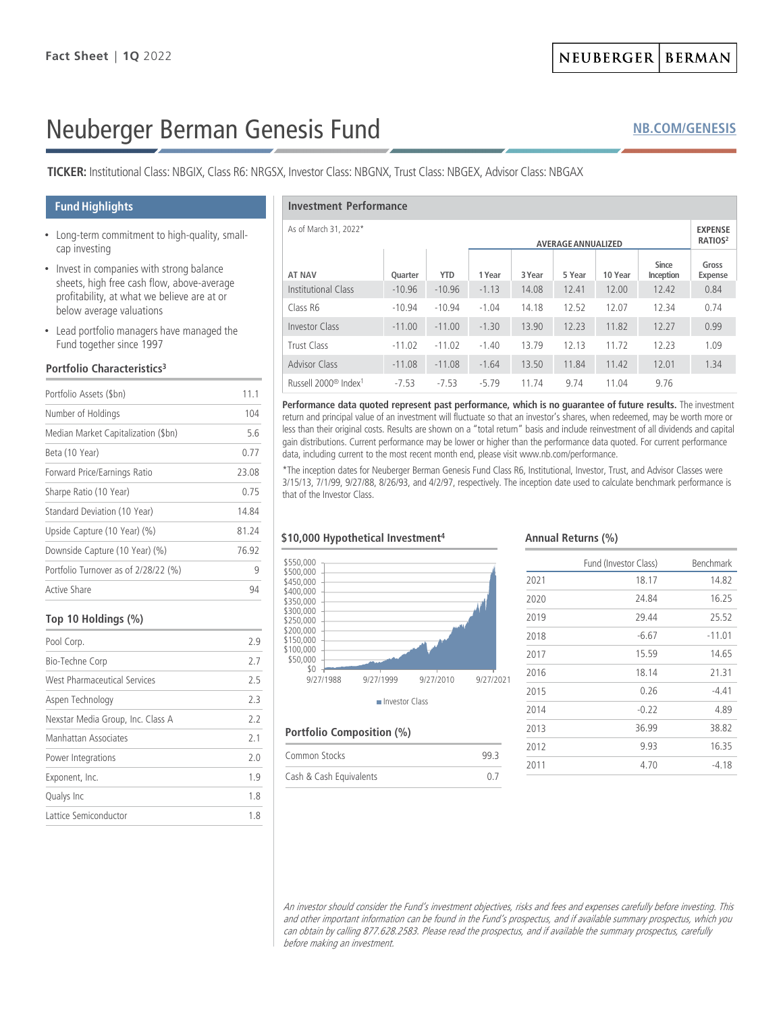# Neuberger Berman Genesis Fund

**TICKER:** Institutional Class: NBGIX, Class R6: NRGSX, Investor Class: NBGNX, Trust Class: NBGEX, Advisor Class: NBGAX

# **Fund Highlights**

- Long-term commitment to high-quality, smallcap investing
- Invest in companies with strong balance sheets, high free cash flow, above-average profitability, at what we believe are at or below average valuations
- Lead portfolio managers have managed the Fund together since 1997

#### **Portfolio Characteristics3**

| Portfolio Assets (\$bn)              | 11.1  |  |
|--------------------------------------|-------|--|
| Number of Holdings                   | 104   |  |
| Median Market Capitalization (\$bn)  | 56    |  |
| Beta (10 Year)                       | 0.77  |  |
| Forward Price/Earnings Ratio         | 23.08 |  |
| Sharpe Ratio (10 Year)               | 0.75  |  |
| Standard Deviation (10 Year)         | 14.84 |  |
| Upside Capture (10 Year) (%)         | 81 24 |  |
| Downside Capture (10 Year) (%)       | 7692  |  |
| Portfolio Turnover as of 2/28/22 (%) | 9     |  |
| Active Share                         | 94    |  |

## **Top 10 Holdings (%)**

| Pool Corp.                        | 29  |
|-----------------------------------|-----|
| Bio-Techne Corp                   | 2.7 |
| West Pharmaceutical Services      | 25  |
| Aspen Technology                  | 23  |
| Nexstar Media Group, Inc. Class A | 22  |
| Manhattan Associates              | 21  |
| Power Integrations                | 20  |
| Exponent, Inc.                    | 19  |
| Qualys Inc                        | 1.8 |
| Lattice Semiconductor             | 18  |
|                                   |     |

#### **Investment Performance**

| As of March 31, 2022*<br><b>AVERAGE ANNUALIZED</b> |          |            |         | <b>EXPENSE</b><br>RATIOS <sup>2</sup> |        |         |                    |                  |
|----------------------------------------------------|----------|------------|---------|---------------------------------------|--------|---------|--------------------|------------------|
| <b>AT NAV</b>                                      | Quarter  | <b>YTD</b> | 1 Year  | 3 Year                                | 5 Year | 10 Year | Since<br>Inception | Gross<br>Expense |
| Institutional Class                                | $-10.96$ | $-10.96$   | $-1.13$ | 14.08                                 | 12.41  | 12.00   | 12.42              | 0.84             |
| Class R6                                           | $-10.94$ | $-10.94$   | $-1.04$ | 14.18                                 | 12.52  | 12.07   | 12.34              | 0.74             |
| <b>Investor Class</b>                              | $-11.00$ | $-11.00$   | $-1.30$ | 13.90                                 | 12.23  | 11.82   | 12.27              | 0.99             |
| Trust Class                                        | $-11.02$ | $-11.02$   | $-1.40$ | 13.79                                 | 12.13  | 11.72   | 12.23              | 1.09             |
| <b>Advisor Class</b>                               | $-11.08$ | $-11.08$   | $-1.64$ | 13.50                                 | 11.84  | 11.42   | 12.01              | 1.34             |
| Russell 2000 <sup>®</sup> Index <sup>1</sup>       | $-7.53$  | $-7.53$    | $-5.79$ | 11.74                                 | 9.74   | 11.04   | 9.76               |                  |

**Performance data quoted represent past performance, which is no guarantee of future results.** The investment return and principal value of an investment will fluctuate so that an investor's shares, when redeemed, may be worth more or less than their original costs. Results are shown on a "total return" basis and include reinvestment of all dividends and capital gain distributions. Current performance may be lower or higher than the performance data quoted. For current performance data, including current to the most recent month end, please visit www.nb.com/performance.

\*The inception dates for Neuberger Berman Genesis Fund Class R6, Institutional, Investor, Trust, and Advisor Classes were 3/15/13, 7/1/99, 9/27/88, 8/26/93, and 4/2/97, respectively. The inception date used to calculate benchmark performance is that of the Investor Class.

## **\$10,000 Hypothetical Investment4**



#### **Portfolio Composition (%)**

| Common Stocks           | 99 R |
|-------------------------|------|
| Cash & Cash Equivalents |      |

#### **Annual Returns (%)**

|      | Fund (Investor Class) | Benchmark |
|------|-----------------------|-----------|
| 2021 | 18.17                 | 14.82     |
| 2020 | 24.84                 | 16.25     |
| 2019 | 29.44                 | 25.52     |
| 2018 | $-6.67$               | $-11.01$  |
| 2017 | 15.59                 | 14.65     |
| 2016 | 18.14                 | 21.31     |
| 2015 | 0.26                  | $-4.41$   |
| 2014 | $-0.22$               | 4.89      |
| 2013 | 36.99                 | 38.82     |
| 2012 | 9.93                  | 16.35     |
| 2011 | 4.70                  | -4.18     |

An investor should consider the Fund's investment objectives, risks and fees and expenses carefully before investing. This and other important information can be found in the Fund's prospectus, and if available summary prospectus, which you can obtain by calling 877.628.2583. Please read the prospectus, and if available the summary prospectus, carefully before making an investment.

# **[NB.COM/GENESIS](http://www.nb.com/Pages/Public/en-us/Products/genesis-fund.aspx)**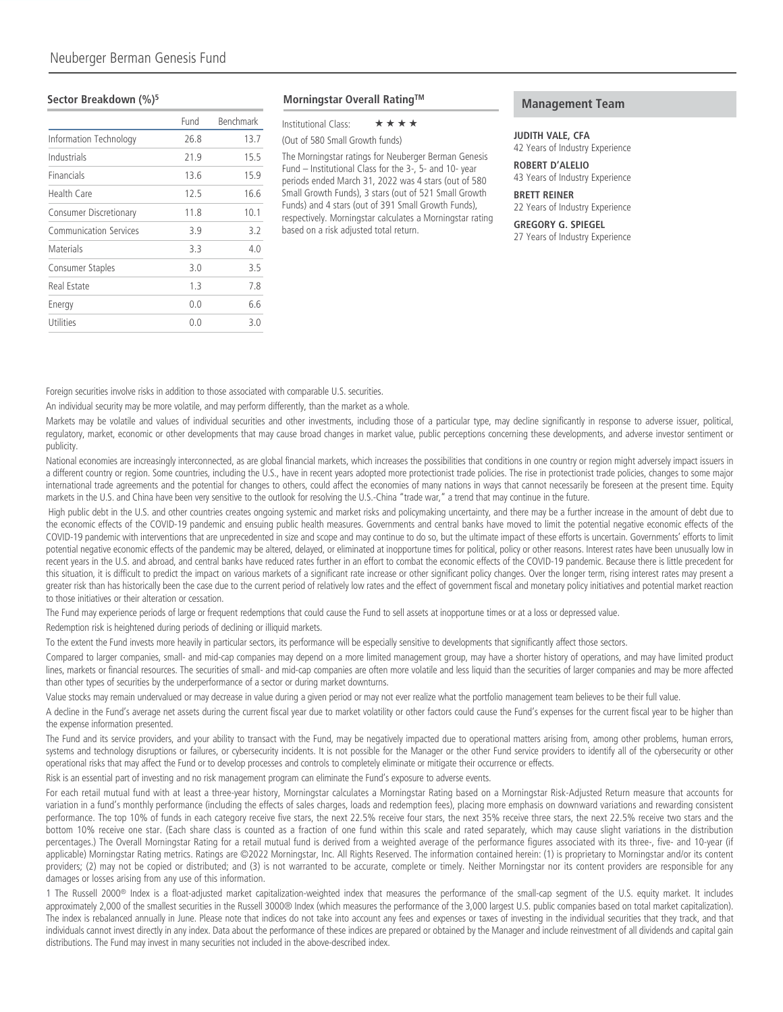#### **Sector Breakdown (%)5**

|                               | Fund | Benchmark |
|-------------------------------|------|-----------|
| Information Technology        | 26.8 | 13.7      |
| Industrials                   | 21.9 | 15.5      |
| Financials                    | 13.6 | 15.9      |
| <b>Health Care</b>            | 12.5 | 16.6      |
| <b>Consumer Discretionary</b> | 11.8 | 10.1      |
| <b>Communication Services</b> | 3.9  | 3.2       |
| Materials                     | 3.3  | 4.0       |
| Consumer Staples              | 3.0  | 3.5       |
| Real Estate                   | 1.3  | 7.8       |
| Energy                        | 0.0  | 6.6       |
| Utilities                     | 0.0  | 30        |
|                               |      |           |

**Morningstar Overall RatingTM**

Institutional Class:  $\star \star \star \star$ 

(Out of 580 Small Growth funds)

The Morningstar ratings for Neuberger Berman Genesis Fund – Institutional Class for the 3-, 5- and 10- year periods ended March 31, 2022 was 4 stars (out of 580 Small Growth Funds), 3 stars (out of 521 Small Growth Funds) and 4 stars (out of 391 Small Growth Funds), respectively. Morningstar calculates a Morningstar rating based on a risk adjusted total return.

## **Management Team**

#### **JUDITH VALE, CFA**

42 Years of Industry Experience

**ROBERT D'ALELIO** 43 Years of Industry Experience

**BRETT REINER** 22 Years of Industry Experience

**GREGORY G. SPIEGEL** 27 Years of Industry Experience

Foreign securities involve risks in addition to those associated with comparable U.S. securities.

An individual security may be more volatile, and may perform differently, than the market as a whole.

Markets may be volatile and values of individual securities and other investments, including those of a particular type, may decline significantly in response to adverse issuer, political, regulatory, market, economic or other developments that may cause broad changes in market value, public perceptions concerning these developments, and adverse investor sentiment or publicity.

National economies are increasingly interconnected, as are global financial markets, which increases the possibilities that conditions in one country or region might adversely impact issuers in a different country or region. Some countries, including the U.S., have in recent years adopted more protectionist trade policies. The rise in protectionist trade policies, changes to some major international trade agreements and the potential for changes to others, could affect the economies of many nations in ways that cannot necessarily be foreseen at the present time. Equity markets in the U.S. and China have been very sensitive to the outlook for resolving the U.S.-China "trade war," a trend that may continue in the future.

High public debt in the U.S. and other countries creates ongoing systemic and market risks and policymaking uncertainty, and there may be a further increase in the amount of debt due to the economic effects of the COVID-19 pandemic and ensuing public health measures. Governments and central banks have moved to limit the potential negative economic effects of the COVID-19 pandemic with interventions that are unprecedented in size and scope and may continue to do so, but the ultimate impact of these efforts is uncertain. Governments' efforts to limit potential negative economic effects of the pandemic may be altered, delayed, or eliminated at inopportune times for political, policy or other reasons. Interest rates have been unusually low in recent years in the U.S. and abroad, and central banks have reduced rates further in an effort to combat the economic effects of the COVID-19 pandemic. Because there is little precedent for this situation, it is difficult to predict the impact on various markets of a significant rate increase or other significant policy changes. Over the longer term, rising interest rates may present a greater risk than has historically been the case due to the current period of relatively low rates and the effect of government fiscal and monetary policy initiatives and potential market reaction to those initiatives or their alteration or cessation.

The Fund may experience periods of large or frequent redemptions that could cause the Fund to sell assets at inopportune times or at a loss or depressed value.

Redemption risk is heightened during periods of declining or illiquid markets.

To the extent the Fund invests more heavily in particular sectors, its performance will be especially sensitive to developments that significantly affect those sectors.

Compared to larger companies, small- and mid-cap companies may depend on a more limited management group, may have a shorter history of operations, and may have limited product lines, markets or financial resources. The securities of small- and mid-cap companies are often more volatile and less liquid than the securities of larger companies and may be more affected than other types of securities by the underperformance of a sector or during market downturns.

Value stocks may remain undervalued or may decrease in value during a given period or may not ever realize what the portfolio management team believes to be their full value.

A decline in the Fund's average net assets during the current fiscal year due to market volatility or other factors could cause the Fund's expenses for the current fiscal year to be higher than the expense information presented.

The Fund and its service providers, and your ability to transact with the Fund, may be negatively impacted due to operational matters arising from, among other problems, human errors, systems and technology disruptions or failures, or cybersecurity incidents. It is not possible for the Manager or the other Fund service providers to identify all of the cybersecurity or other operational risks that may affect the Fund or to develop processes and controls to completely eliminate or mitigate their occurrence or effects.

Risk is an essential part of investing and no risk management program can eliminate the Fund's exposure to adverse events.

For each retail mutual fund with at least a three-year history, Morningstar calculates a Morningstar Rating based on a Morningstar Risk-Adjusted Return measure that accounts for variation in a fund's monthly performance (including the effects of sales charges, loads and redemption fees), placing more emphasis on downward variations and rewarding consistent performance. The top 10% of funds in each category receive five stars, the next 22.5% receive four stars, the next 35% receive three stars, the next 22.5% receive two stars and the bottom 10% receive one star. (Each share class is counted as a fraction of one fund within this scale and rated separately, which may cause slight variations in the distribution percentages.) The Overall Morningstar Rating for a retail mutual fund is derived from a weighted average of the performance figures associated with its three-, five- and 10-year (if applicable) Morningstar Rating metrics. Ratings are ©2022 Morningstar, Inc. All Rights Reserved. The information contained herein: (1) is proprietary to Morningstar and/or its content providers; (2) may not be copied or distributed; and (3) is not warranted to be accurate, complete or timely. Neither Morningstar nor its content providers are responsible for any damages or losses arising from any use of this information.

1 The Russell 2000<sup>®</sup> Index is a float-adjusted market capitalization-weighted index that measures the performance of the small-cap segment of the U.S. equity market. It includes approximately 2,000 of the smallest securities in the Russell 3000® Index (which measures the performance of the 3,000 largest U.S. public companies based on total market capitalization). The index is rebalanced annually in June. Please note that indices do not take into account any fees and expenses or taxes of investing in the individual securities that they track, and that individuals cannot invest directly in any index. Data about the performance of these indices are prepared or obtained by the Manager and include reinvestment of all dividends and capital gain distributions. The Fund may invest in many securities not included in the above-described index.